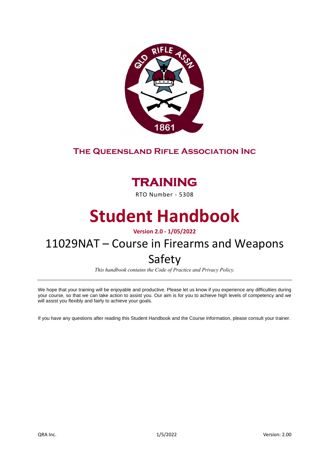

### **The Queensland Rifle Association Inc**

# **TRAINING**

RTO Number - 5308

# **Student Handbook**

**Version 2.0 - 1/05/2022** 

## 11029NAT – Course in Firearms and Weapons Safety

*This handbook contains the Code of Practice and Privacy Policy.*

We hope that your training will be enjoyable and productive. Please let us know if you experience any difficulties during your course, so that we can take action to assist you. Our aim is for you to achieve high levels of competency and we will assist you flexibly and fairly to achieve your goals.

If you have any questions after reading this Student Handbook and the Course Information, please consult your trainer.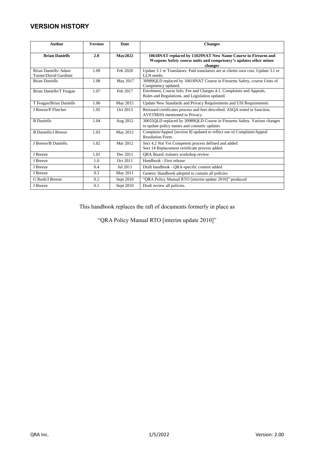### **VERSION HISTORY**

| <b>Author</b>                                | <b>Version</b> | <b>Date</b>    | <b>Changes</b>                                                                                                                              |
|----------------------------------------------|----------------|----------------|---------------------------------------------------------------------------------------------------------------------------------------------|
| <b>Brian Daniells</b>                        | 2.0            | <b>May2022</b> | 10618NAT replaced by 11029NAT New Name Course in Firearm and<br>Weapons Safety course units and competency's updates other minor<br>changes |
| Brian Daniells/Adam<br>Turner/David Gardiner | 1.09           | Feb 2020       | Update 3.1 re Translators: Paid translators are at clients own cost. Update 3.1 re<br>LLN needs:                                            |
| <b>Brian Daniells</b>                        | 1.08           | May 2017       | 30989QLD replaced by 10618NAT Course in Firearms Safety, course Units of<br>Competency updated.                                             |
| Brian Daniells/T Feagan                      | 1.07           | Feb 2017       | Enrolment, Course Info, Fee and Charges 4.1, Complaints and Appeals,<br>Rules and Regulations, and Legislation updated.                     |
| T Feagan/Brian Daniells                      | 1.06           | May 2015       | Update New Standards and Privacy Requirements and USI Requirements                                                                          |
| J Breeze/P Fletcher                          | 1.05           | Oct 2013       | Reissued certificates process and fees described. ASQA noted in Sanction.<br>AVETMISS mentioned in Privacy.                                 |
| <b>B</b> Daniells                            | 1.04           | Aug 2012       | 30655QLD replaced by 30989QLD Course in Firearms Safety. Various changes<br>to update policy names and cosmetic updates                     |
| <b>B</b> Daniells/J Breeze                   | 1.03           | May 2012       | Complain/Appeal [section 8] updated to reflect use of Complaint/Appeal<br>Resolution Form.                                                  |
| J Breeze/B Daniells.                         | 1.02           | Mar 2012       | Sect 4.2 Not Yet Competent process defined and added<br>Sect 14 Replacement certificate process added                                       |
| J Breeze                                     | 1.01           | Dec 2011       | QRA Board, trainers workshop review                                                                                                         |
| J Breeze                                     | 1.0            | Oct 2011       | Handbook - First release                                                                                                                    |
| J Breeze                                     | 0.4            | Jul 2011       | Draft handbook - QRA-specific content added                                                                                                 |
| J Breeze                                     | 0.3            | May 2011       | Generic Handbook adopted to contain all policies                                                                                            |
| G Rush/J Breeze                              | 0.2            | Sept 2010      | "QRA Policy Manual RTO [interim update 2010]" produced                                                                                      |
| J Breeze                                     | 0.1            | Sept 2010      | Draft review all policies.                                                                                                                  |

This handbook replaces the raft of documents formerly in place as

"QRA Policy Manual RTO [interim update 2010]"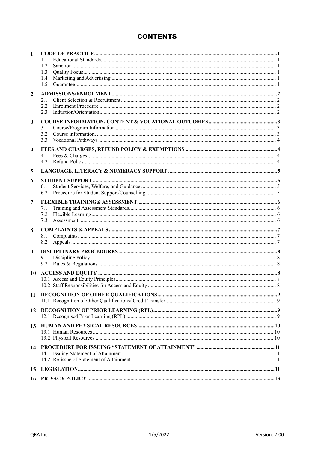### **CONTENTS**

| $\mathbf{1}$ |            |  |
|--------------|------------|--|
|              | 1.2        |  |
|              | 1.3        |  |
|              | 1.4<br>1.5 |  |
|              |            |  |
| $\mathbf{2}$ |            |  |
|              | 2.1<br>2.2 |  |
|              | 2.3        |  |
|              |            |  |
| 3            | 3.1        |  |
|              | 3.2        |  |
|              | 3.3        |  |
| 4            |            |  |
|              | 4.1        |  |
|              | 4.2        |  |
| 5            |            |  |
|              |            |  |
| 6            | 6.1        |  |
|              | 6.2        |  |
|              |            |  |
| 7            | 7.1        |  |
|              | 7.2        |  |
|              | 7.3        |  |
| 8            |            |  |
|              | 8.1        |  |
|              | 8.2        |  |
| 9            |            |  |
|              | 9.1        |  |
|              | 9.2        |  |
| 10           |            |  |
|              |            |  |
|              |            |  |
| 11           |            |  |
|              |            |  |
| 12           |            |  |
|              |            |  |
|              |            |  |
| 13           |            |  |
|              |            |  |
| 14           |            |  |
|              |            |  |
|              |            |  |
| 15           |            |  |
|              |            |  |
| 16           |            |  |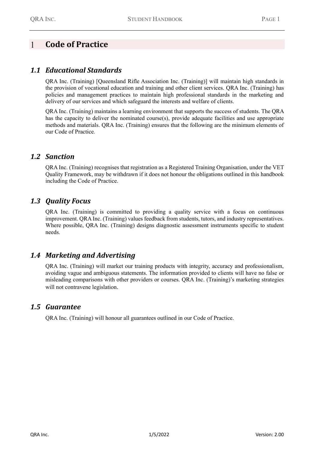#### <span id="page-3-0"></span> $\overline{1}$ **Code of Practice**

### <span id="page-3-1"></span>*1.1 Educational Standards*

QRA Inc. (Training) [Queensland Rifle Association Inc. (Training)] will maintain high standards in the provision of vocational education and training and other client services. QRA Inc. (Training) has policies and management practices to maintain high professional standards in the marketing and delivery of our services and which safeguard the interests and welfare of clients.

QRA Inc. (Training) maintains a learning environment that supports the success of students. The QRA has the capacity to deliver the nominated course(s), provide adequate facilities and use appropriate methods and materials. QRA Inc. (Training) ensures that the following are the minimum elements of our Code of Practice*.*

### <span id="page-3-2"></span>*1.2 Sanction*

QRA Inc. (Training) recognises that registration as a Registered Training Organisation, under the VET Quality Framework, may be withdrawn if it does not honour the obligations outlined in this handbook including the Code of Practice.

### <span id="page-3-3"></span>*1.3 Quality Focus*

QRA Inc. (Training) is committed to providing a quality service with a focus on continuous improvement. QRA Inc. (Training) values feedback from students, tutors, and industry representatives. Where possible, QRA Inc. (Training) designs diagnostic assessment instruments specific to student needs.

### <span id="page-3-4"></span>*1.4 Marketing and Advertising*

QRA Inc. (Training) will market our training products with integrity, accuracy and professionalism, avoiding vague and ambiguous statements. The information provided to clients will have no false or misleading comparisons with other providers or courses. QRA Inc. (Training)'s marketing strategies will not contravene legislation.

### <span id="page-3-5"></span>*1.5 Guarantee*

QRA Inc. (Training) will honour all guarantees outlined in our Code of Practice.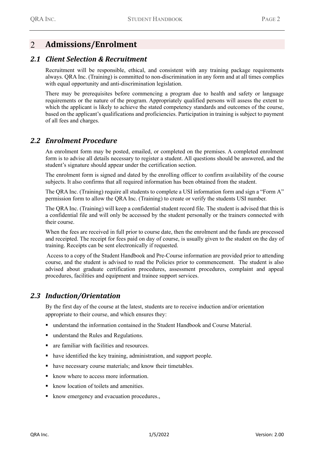#### <span id="page-4-0"></span> $\mathcal{L}$ **Admissions/Enrolment**

#### <span id="page-4-1"></span>*2.1 Client Selection & Recruitment*

Recruitment will be responsible, ethical, and consistent with any training package requirements always. QRA Inc. (Training) is committed to non-discrimination in any form and at all times complies with equal opportunity and anti-discrimination legislation.

There may be prerequisites before commencing a program due to health and safety or language requirements or the nature of the program. Appropriately qualified persons will assess the extent to which the applicant is likely to achieve the stated competency standards and outcomes of the course, based on the applicant's qualifications and proficiencies. Participation in training is subject to payment of all fees and charges.

#### <span id="page-4-2"></span>*2.2 Enrolment Procedure*

An enrolment form may be posted, emailed, or completed on the premises. A completed enrolment form is to advise all details necessary to register a student. All questions should be answered, and the student's signature should appear under the certification section.

The enrolment form is signed and dated by the enrolling officer to confirm availability of the course subjects. It also confirms that all required information has been obtained from the student.

The QRA Inc. (Training) require all students to complete a USI information form and sign a "Form A" permission form to allow the QRA Inc. (Training) to create or verify the students USI number.

The QRA Inc. (Training) will keep a confidential student record file. The student is advised that this is a confidential file and will only be accessed by the student personally or the trainers connected with their course.

When the fees are received in full prior to course date, then the enrolment and the funds are processed and receipted. The receipt for fees paid on day of course, is usually given to the student on the day of training. Receipts can be sent electronically if requested.

Access to a copy of the Student Handbook and Pre-Course information are provided prior to attending course, and the student is advised to read the Policies prior to commencement. The student is also advised about graduate certification procedures, assessment procedures, complaint and appeal procedures, facilities and equipment and trainee support services.

#### <span id="page-4-3"></span>*2.3 Induction/Orientation*

By the first day of the course at the latest, students are to receive induction and/or orientation appropriate to their course, and which ensures they:

- understand the information contained in the Student Handbook and Course Material.
- understand the Rules and Regulations.
- are familiar with facilities and resources.
- have identified the key training, administration, and support people.
- have necessary course materials; and know their timetables.
- know where to access more information.
- know location of toilets and amenities.
- know emergency and evacuation procedures.,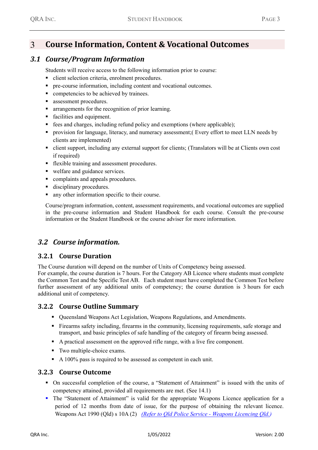#### <span id="page-5-0"></span>**Course Information, Content & Vocational Outcomes**  $\mathcal{R}$

### <span id="page-5-1"></span>*3.1 Course/Program Information*

Students will receive access to the following information prior to course:

- client selection criteria, enrolment procedures.
- pre-course information, including content and vocational outcomes.
- competencies to be achieved by trainees.
- assessment procedures.
- arrangements for the recognition of prior learning.
- facilities and equipment.
- fees and charges, including refund policy and exemptions (where applicable);
- provision for language, literacy, and numeracy assessment;( Every effort to meet LLN needs by clients are implemented)
- client support, including any external support for clients; (Translators will be at Clients own cost if required)
- **•** flexible training and assessment procedures.
- welfare and guidance services.
- complaints and appeals procedures.
- disciplinary procedures.
- any other information specific to their course.

Course/program information, content, assessment requirements, and vocational outcomes are supplied in the pre-course information and Student Handbook for each course. Consult the pre-course information or the Student Handbook or the course adviser for more information.

#### <span id="page-5-2"></span>*3.2 Course information.*

#### **3.2.1 Course Duration**

The Course duration will depend on the number of Units of Competency being assessed.

For example, the course duration is 7 hours. For the Category AB Licence where students must complete the Common Test and the Specific Test AB. Each student must have completed the Common Test before further assessment of any additional units of competency; the course duration is 3 hours for each additional unit of competency.

#### **3.2.2 Course Outline Summary**

- Queensland Weapons Act Legislation, Weapons Regulations, and Amendments.
- Firearms safety including, firearms in the community, licensing requirements, safe storage and transport, and basic principles of safe handling of the category of firearm being assessed.
- A practical assessment on the approved rifle range, with a live fire component.
- Two multiple-choice exams.
- A 100% pass is required to be assessed as competent in each unit.

#### **3.2.3 Course Outcome**

- On successful completion of the course, a "Statement of Attainment" is issued with the units of competency attained, provided all requirements are met. (See 14.1)
- The "Statement of Attainment" is valid for the appropriate Weapons Licence application for a period of 12 months from date of issue, for the purpose of obtaining the relevant licence. Weapons Act 1990 (Qld) s 10A (2) *(Refer to Qld Police Service - [Weapons Licencing Qld.\)](https://www.police.qld.gov.au/programs/weaponsLicensing/licenceApplication/applicant/training/)*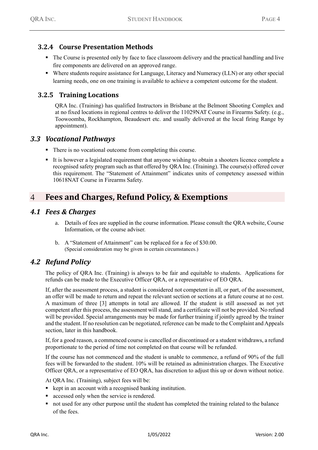#### **3.2.4 Course Presentation Methods**

- The Course is presented only by face to face classroom delivery and the practical handling and live fire components are delivered on an approved range.
- Where students require assistance for Language, Literacy and Numeracy (LLN) or any other special learning needs, one on one training is available to achieve a competent outcome for the student.

#### **3.2.5 Training Locations**

QRA Inc. (Training) has qualified Instructors in Brisbane at the Belmont Shooting Complex and at no fixed locations in regional centres to deliver the 11029NAT Course in Firearms Safety. (e.g., Toowoomba, Rockhampton, Beaudesert etc. and usually delivered at the local firing Range by appointment).

#### <span id="page-6-0"></span>*3.3 Vocational Pathways*

- There is no vocational outcome from completing this course.
- It is however a legislated requirement that anyone wishing to obtain a shooters licence complete a recognised safety program such as that offered by QRA Inc. (Training). The course(s) offered cover this requirement. The "Statement of Attainment" indicates units of competency assessed within 10618NAT Course in Firearms Safety.

#### <span id="page-6-1"></span>**Fees and Charges, Refund Policy, & Exemptions**  $\overline{4}$

#### <span id="page-6-2"></span>*4.1 Fees & Charges*

- a. Details of fees are supplied in the course information. Please consult the QRA website, Course Information, or the course adviser.
- b. A "Statement of Attainment" can be replaced for a fee of \$30.00. (Special consideration may be given in certain circumstances.)

### <span id="page-6-3"></span>*4.2 Refund Policy*

The policy of QRA Inc. (Training) is always to be fair and equitable to students. Applications for refunds can be made to the Executive Officer QRA, or a representative of EO QRA.

If, after the assessment process, a student is considered not competent in all, or part, of the assessment, an offer will be made to return and repeat the relevant section or sections at a future course at no cost. A maximum of three [3] attempts in total are allowed. If the student is still assessed as not yet competent after this process, the assessment will stand, and a certificate will not be provided. No refund will be provided. Special arrangements may be made for further training if jointly agreed by the trainer and the student. If no resolution can be negotiated, reference can be made to the Complaint and Appeals section, later in this handbook.

If, for a good reason, a commenced course is cancelled or discontinued or a student withdraws, a refund proportionate to the period of time not completed on that course will be refunded.

If the course has not commenced and the student is unable to commence, a refund of 90% of the full fees will be forwarded to the student. 10% will be retained as administration charges. The Executive Officer QRA, or a representative of EO QRA, has discretion to adjust this up or down without notice.

At QRA Inc. (Training), subject fees will be:

- kept in an account with a recognised banking institution.
- accessed only when the service is rendered.
- not used for any other purpose until the student has completed the training related to the balance of the fees.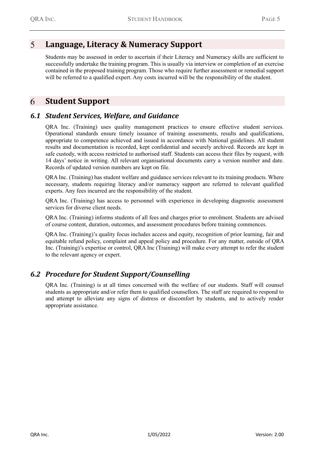#### <span id="page-7-0"></span> $\overline{\mathsf{S}}$ **Language, Literacy & Numeracy Support**

Students may be assessed in order to ascertain if their Literacy and Numeracy skills are sufficient to successfully undertake the training program. This is usually via interview or completion of an exercise contained in the proposed training program. Those who require further assessment or remedial support will be referred to a qualified expert. Any costs incurred will be the responsibility of the student.

#### <span id="page-7-1"></span>6 **Student Support**

### <span id="page-7-2"></span>*6.1 Student Services, Welfare, and Guidance*

QRA Inc. (Training) uses quality management practices to ensure effective student services. Operational standards ensure timely issuance of training assessments, results and qualifications, appropriate to competence achieved and issued in accordance with National guidelines. All student results and documentation is recorded, kept confidential and securely archived. Records are kept in safe custody, with access restricted to authorised staff. Students can access their files by request, with 14 days' notice in writing. All relevant organisational documents carry a version number and date. Records of updated version numbers are kept on file.

QRA Inc. (Training) has student welfare and guidance services relevant to its training products. Where necessary, students requiring literacy and/or numeracy support are referred to relevant qualified experts. Any fees incurred are the responsibility of the student.

QRA Inc. (Training) has access to personnel with experience in developing diagnostic assessment services for diverse client needs.

QRA Inc. (Training) informs students of all fees and charges prior to enrolment. Students are advised of course content, duration, outcomes, and assessment procedures before training commences.

QRA Inc. (Training)'s quality focus includes access and equity, recognition of prior learning, fair and equitable refund policy, complaint and appeal policy and procedure. For any matter, outside of QRA Inc. (Training)'s expertise or control, QRA Inc (Training) will make every attempt to refer the student to the relevant agency or expert.

### <span id="page-7-3"></span>*6.2 Procedure for Student Support/Counselling*

QRA Inc. (Training) is at all times concerned with the welfare of our students. Staff will counsel students as appropriate and/or refer them to qualified counsellors. The staff are required to respond to and attempt to alleviate any signs of distress or discomfort by students, and to actively render appropriate assistance.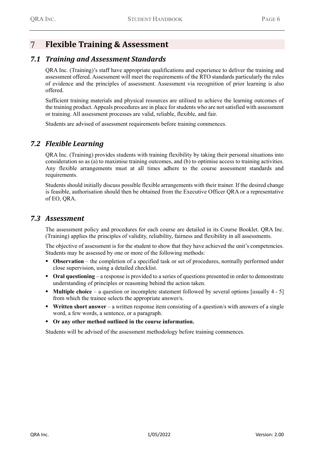#### <span id="page-8-0"></span> $\overline{\tau}$ **Flexible Training & Assessment**

### <span id="page-8-1"></span>*7.1 Training and Assessment Standards*

QRA Inc. (Training)'s staff have appropriate qualifications and experience to deliver the training and assessment offered. Assessment will meet the requirements of the RTO standards particularly the rules of evidence and the principles of assessment. Assessment via recognition of prior learning is also offered.

Sufficient training materials and physical resources are utilised to achieve the learning outcomes of the training product. Appeals procedures are in place for students who are not satisfied with assessment or training. All assessment processes are valid, reliable, flexible, and fair.

Students are advised of assessment requirements before training commences.

### <span id="page-8-2"></span>*7.2 Flexible Learning*

QRA Inc. (Training) provides students with training flexibility by taking their personal situations into consideration so as (a) to maximise training outcomes, and (b) to optimise access to training activities. Any flexible arrangements must at all times adhere to the course assessment standards and requirements.

Students should initially discuss possible flexible arrangements with their trainer. If the desired change is feasible, authorisation should then be obtained from the Executive Officer QRA or a representative of EO, QRA.

#### <span id="page-8-3"></span>*7.3 Assessment*

The assessment policy and procedures for each course are detailed in its Course Booklet. QRA Inc. (Training) applies the principles of validity, reliability, fairness and flexibility in all assessments.

The objective of assessment is for the student to show that they have achieved the unit's competencies. Students may be assessed by one or more of the following methods:

- **Observation** the completion of a specified task or set of procedures, normally performed under close supervision, using a detailed checklist.
- **Oral questioning** a response is provided to a series of questions presented in order to demonstrate understanding of principles or reasoning behind the action taken.
- **Multiple choice** a question or incomplete statement followed by several options [usually 4 5] from which the trainee selects the appropriate answer/s.
- **Written short answer** a written response item consisting of a question/s with answers of a single word, a few words, a sentence, or a paragraph.
- **Or any other method outlined in the course information.**

Students will be advised of the assessment methodology before training commences.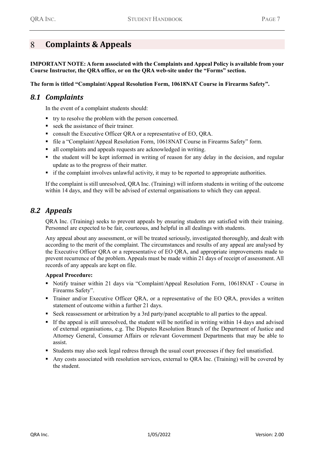#### <span id="page-9-0"></span> $\mathsf{R}$ **Complaints & Appeals**

**IMPORTANT NOTE: A form associated with the Complaints and Appeal Policy is available from your Course Instructor, the QRA office, or on the QRA web-site under the "Forms" section.**

**The form is titled "Complaint/Appeal Resolution Form, 10618NAT Course in Firearms Safety".**

#### <span id="page-9-1"></span>*8.1 Complaints*

In the event of a complaint students should:

- try to resolve the problem with the person concerned.
- seek the assistance of their trainer.
- consult the Executive Officer QRA or a representative of EO, QRA.
- file a "Complaint/Appeal Resolution Form, 10618NAT Course in Firearms Safety" form.
- all complaints and appeals requests are acknowledged in writing.
- the student will be kept informed in writing of reason for any delay in the decision, and regular update as to the progress of their matter.
- if the complaint involves unlawful activity, it may to be reported to appropriate authorities.

If the complaint is still unresolved, QRA Inc. (Training) will inform students in writing of the outcome within 14 days, and they will be advised of external organisations to which they can appeal.

### <span id="page-9-2"></span>*8.2 Appeals*

QRA Inc. (Training) seeks to prevent appeals by ensuring students are satisfied with their training. Personnel are expected to be fair, courteous, and helpful in all dealings with students.

Any appeal about any assessment, or will be treated seriously, investigated thoroughly, and dealt with according to the merit of the complaint. The circumstances and results of any appeal are analysed by the Executive Officer QRA or a representative of EO QRA, and appropriate improvements made to prevent recurrence of the problem. Appeals must be made within 21 days of receipt of assessment. All records of any appeals are kept on file.

#### **Appeal Procedure:**

- Notify trainer within 21 days via "Complaint/Appeal Resolution Form, 10618NAT Course in Firearms Safety".
- Trainer and/or Executive Officer QRA, or a representative of the EO QRA, provides a written statement of outcome within a further 21 days.
- Seek reassessment or arbitration by a 3rd party/panel acceptable to all parties to the appeal.
- If the appeal is still unresolved, the student will be notified in writing within 14 days and advised of external organisations, e.g. The Disputes Resolution Branch of the Department of Justice and Attorney General, Consumer Affairs or relevant Government Departments that may be able to assist.
- Students may also seek legal redress through the usual court processes if they feel unsatisfied.
- Any costs associated with resolution services, external to QRA Inc. (Training) will be covered by the student.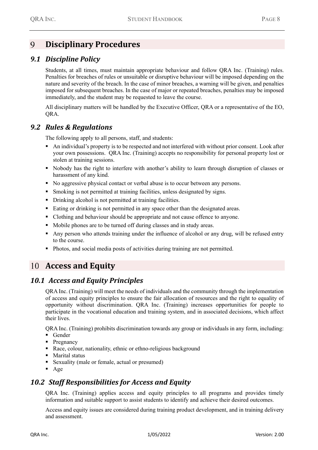#### <span id="page-10-0"></span> $\mathbf Q$ **Disciplinary Procedures**

### <span id="page-10-1"></span>*9.1 Discipline Policy*

Students, at all times, must maintain appropriate behaviour and follow QRA Inc. (Training) rules. Penalties for breaches of rules or unsuitable or disruptive behaviour will be imposed depending on the nature and severity of the breach. In the case of minor breaches, a warning will be given, and penalties imposed for subsequent breaches. In the case of major or repeated breaches, penalties may be imposed immediately, and the student may be requested to leave the course.

All disciplinary matters will be handled by the Executive Officer, QRA or a representative of the EO, QRA.

### <span id="page-10-2"></span>*9.2 Rules & Regulations*

The following apply to all persons, staff, and students:

- An individual's property is to be respected and not interfered with without prior consent. Look after your own possessions. QRA Inc. (Training) accepts no responsibility for personal property lost or stolen at training sessions.
- Nobody has the right to interfere with another's ability to learn through disruption of classes or harassment of any kind.
- No aggressive physical contact or verbal abuse is to occur between any persons.
- **Exercise 1** Smoking is not permitted at training facilities, unless designated by signs.
- Drinking alcohol is not permitted at training facilities.
- Eating or drinking is not permitted in any space other than the designated areas.
- Clothing and behaviour should be appropriate and not cause offence to anyone.
- Mobile phones are to be turned off during classes and in study areas.
- Any person who attends training under the influence of alcohol or any drug, will be refused entry to the course.
- Photos, and social media posts of activities during training are not permitted.

### <span id="page-10-3"></span>**Access and Equity**

### *10.1 Access and Equity Principles*

<span id="page-10-4"></span>QRA Inc. (Training) will meet the needs of individuals and the community through the implementation of access and equity principles to ensure the fair allocation of resources and the right to equality of opportunity without discrimination. QRA Inc. (Training) increases opportunities for people to participate in the vocational education and training system, and in associated decisions, which affect their lives.

QRA Inc. (Training) prohibits discrimination towards any group or individuals in any form, including:

- Gender
- Pregnancy
- Race, colour, nationality, ethnic or ethno-religious background
- Marital status
- Sexuality (male or female, actual or presumed)
- <span id="page-10-5"></span> $\blacksquare$  Age

### *10.2 Staff Responsibilities for Access and Equity*

QRA Inc. (Training) applies access and equity principles to all programs and provides timely information and suitable support to assist students to identify and achieve their desired outcomes.

Access and equity issues are considered during training product development, and in training delivery and assessment.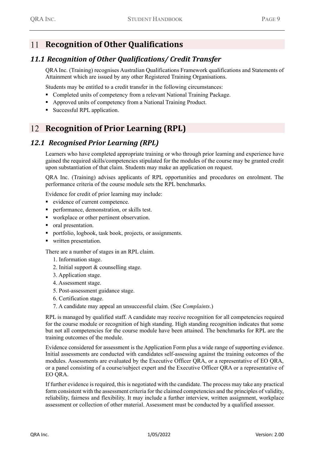### <span id="page-11-0"></span>**Recognition of Other Qualifications**

### *11.1 Recognition of Other Qualifications/ Credit Transfer*

<span id="page-11-1"></span>QRA Inc. (Training) recognises Australian Qualifications Framework qualifications and Statements of Attainment which are issued by any other Registered Training Organisations.

Students may be entitled to a credit transfer in the following circumstances:

- Completed units of competency from a relevant National Training Package.
- Approved units of competency from a National Training Product.
- Successful RPL application.

### <span id="page-11-2"></span>12 **Recognition of Prior Learning (RPL)**

#### *12.1 Recognised Prior Learning (RPL)*

<span id="page-11-3"></span>Learners who have completed appropriate training or who through prior learning and experience have gained the required skills/competencies stipulated for the modules of the course may be granted credit upon substantiation of that claim. Students may make an application on request.

QRA Inc. (Training) advises applicants of RPL opportunities and procedures on enrolment. The performance criteria of the course module sets the RPL benchmarks.

Evidence for credit of prior learning may include:

- evidence of current competence.
- performance, demonstration, or skills test.
- workplace or other pertinent observation.
- oral presentation.
- portfolio, logbook, task book, projects, or assignments.
- written presentation.

There are a number of stages in an RPL claim.

- 1. Information stage.
- 2. Initial support & counselling stage.
- 3. Application stage.
- 4. Assessment stage.
- 5. Post-assessment guidance stage.
- 6. Certification stage.
- 7. A candidate may appeal an unsuccessful claim. (See *Complaints*.)

RPL is managed by qualified staff. A candidate may receive recognition for all competencies required for the course module or recognition of high standing. High standing recognition indicates that some but not all competencies for the course module have been attained. The benchmarks for RPL are the training outcomes of the module.

Evidence considered for assessment is the Application Form plus a wide range of supporting evidence. Initial assessments are conducted with candidates self-assessing against the training outcomes of the modules. Assessments are evaluated by the Executive Officer QRA, or a representative of EO QRA, or a panel consisting of a course/subject expert and the Executive Officer QRA or a representative of EO QRA.

If further evidence is required, this is negotiated with the candidate. The process may take any practical form consistent with the assessment criteria for the claimed competencies and the principles of validity, reliability, fairness and flexibility. It may include a further interview, written assignment, workplace assessment or collection of other material. Assessment must be conducted by a qualified assessor.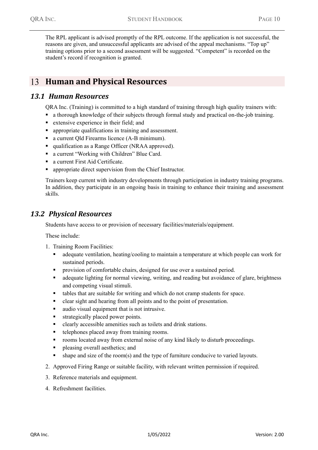The RPL applicant is advised promptly of the RPL outcome. If the application is not successful, the reasons are given, and unsuccessful applicants are advised of the appeal mechanisms. "Top up" training options prior to a second assessment will be suggested. "Competent" is recorded on the student's record if recognition is granted.

### <span id="page-12-0"></span>**Human and Physical Resources**

#### *13.1 Human Resources*

<span id="page-12-1"></span>QRA Inc. (Training) is committed to a high standard of training through high quality trainers with:

- a thorough knowledge of their subjects through formal study and practical on-the-job training.
- extensive experience in their field; and
- **•** appropriate qualifications in training and assessment.
- a current Old Firearms licence (A-B minimum).
- qualification as a Range Officer (NRAA approved).
- a current "Working with Children" Blue Card.
- a current First Aid Certificate.
- appropriate direct supervision from the Chief Instructor.

Trainers keep current with industry developments through participation in industry training programs. In addition, they participate in an ongoing basis in training to enhance their training and assessment skills.

### <span id="page-12-2"></span>*13.2 Physical Resources*

Students have access to or provision of necessary facilities/materials/equipment.

These include:

- 1. Training Room Facilities:
	- adequate ventilation, heating/cooling to maintain a temperature at which people can work for sustained periods.
	- provision of comfortable chairs, designed for use over a sustained period.
	- adequate lighting for normal viewing, writing, and reading but avoidance of glare, brightness and competing visual stimuli.
	- tables that are suitable for writing and which do not cramp students for space.
	- clear sight and hearing from all points and to the point of presentation.
	- audio visual equipment that is not intrusive.
	- strategically placed power points.
	- clearly accessible amenities such as toilets and drink stations.
	- telephones placed away from training rooms.
	- rooms located away from external noise of any kind likely to disturb proceedings.
	- **•** pleasing overall aesthetics; and
	- shape and size of the room(s) and the type of furniture conducive to varied layouts.
- 2. Approved Firing Range or suitable facility, with relevant written permission if required.
- 3. Reference materials and equipment.
- 4. Refreshment facilities.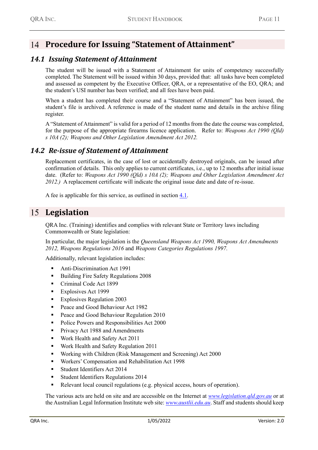### <span id="page-13-0"></span>**Procedure for Issuing "Statement of Attainment"**

### *14.1 Issuing Statement of Attainment*

<span id="page-13-1"></span>The student will be issued with a Statement of Attainment for units of competency successfully completed. The Statement will be issued within 30 days, provided that: all tasks have been completed and assessed as competent by the Executive Officer, QRA, or a representative of the EO, QRA; and the student's USI number has been verified; and all fees have been paid.

When a student has completed their course and a "Statement of Attainment" has been issued, the student's file is archived. A reference is made of the student name and details in the archive filing register.

A "Statement of Attainment" is valid for a period of 12 months from the date the course was completed, for the purpose of the appropriate firearms licence application. Refer to: *Weapons Act 1990 (Qld) s 10A (2); Weapons and Other Legislation Amendment Act 2012.*

#### *14.2 Re-issue of Statement of Attainment*

<span id="page-13-2"></span>Replacement certificates, in the case of lost or accidentally destroyed originals, can be issued after confirmation of details. This only applies to current certificates, i.e., up to 12 months after initial issue date. (Refer to: *Weapons Act 1990 (Qld) s 10A (2); Weapons and Other Legislation Amendment Act 2012.)* A replacement certificate will indicate the original issue date and date of re-issue.

A fee is applicable for this service, as outlined in section [4.1.](#page-6-2)

### <span id="page-13-3"></span>**Legislation**

QRA Inc. (Training) identifies and complies with relevant State or Territory laws including Commonwealth or State legislation:

In particular, the major legislation is the *Queensland Weapons Act 1990, Weapons Act Amendments 2012, Weapons Regulations 2016* and *Weapons Categories Regulations 1997.*

Additionally, relevant legislation includes:

- Anti-Discrimination Act 1991
- Building Fire Safety Regulations 2008
- Criminal Code Act 1899
- Explosives Act 1999
- Explosives Regulation 2003
- Peace and Good Behaviour Act 1982
- Peace and Good Behaviour Regulation 2010
- Police Powers and Responsibilities Act 2000
- **•** Privacy Act 1988 and Amendments
- Work Health and Safety Act 2011
- Work Health and Safety Regulation 2011
- Working with Children (Risk Management and Screening) Act 2000
- Workers' Compensation and Rehabilitation Act 1998
- Student Identifiers Act 2014
- **Exercise Student Identifiers Regulations 2014**
- Relevant local council regulations (e.g. physical access, hours of operation).

The various acts are held on site and are accessible on the Internet at *[www.legislation.qld.gov.au](http://www.legislation.qld.gov.au/)* or at the Australian Legal Information Institute web site: *[www.austlii.edu.au](http://www.austlii.edu.au/)*. Staff and students should keep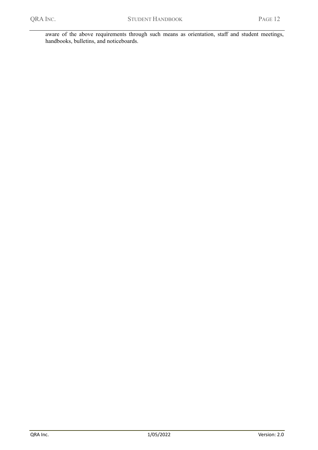aware of the above requirements through such means as orientation, staff and student meetings, handbooks, bulletins, and noticeboards.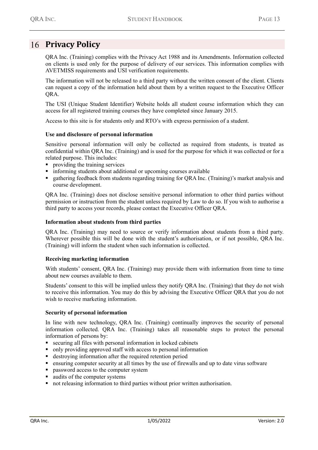### <span id="page-15-0"></span>16 Privacy Policy

QRA Inc. (Training) complies with the Privacy Act 1988 and its Amendments. Information collected on clients is used only for the purpose of delivery of our services. This information complies with AVETMISS requirements and USI verification requirements.

The information will not be released to a third party without the written consent of the client. Clients can request a copy of the information held about them by a written request to the Executive Officer QRA.

The USI (Unique Student Identifier) Website holds all student course information which they can access for all registered training courses they have completed since January 2015.

Access to this site is for students only and RTO's with express permission of a student.

#### **Use and disclosure of personal information**

Sensitive personal information will only be collected as required from students, is treated as confidential within QRA Inc. (Training) and is used for the purpose for which it was collected or for a related purpose. This includes:

- **•** providing the training services
- informing students about additional or upcoming courses available
- gathering feedback from students regarding training for QRA Inc. (Training)'s market analysis and course development.

QRA Inc. (Training) does not disclose sensitive personal information to other third parties without permission or instruction from the student unless required by Law to do so. If you wish to authorise a third party to access your records, please contact the Executive Officer QRA.

#### **Information about students from third parties**

QRA Inc. (Training) may need to source or verify information about students from a third party. Wherever possible this will be done with the student's authorisation, or if not possible, QRA Inc. (Training) will inform the student when such information is collected.

#### **Receiving marketing information**

With students' consent, QRA Inc. (Training) may provide them with information from time to time about new courses available to them.

Students' consent to this will be implied unless they notify QRA Inc. (Training) that they do not wish to receive this information. You may do this by advising the Executive Officer QRA that you do not wish to receive marketing information.

#### **Security of personal information**

In line with new technology, QRA Inc. (Training) continually improves the security of personal information collected. QRA Inc. (Training) takes all reasonable steps to protect the personal information of persons by:

- securing all files with personal information in locked cabinets
- only providing approved staff with access to personal information
- destroying information after the required retention period
- ensuring computer security at all times by the use of firewalls and up to date virus software
- password access to the computer system
- audits of the computer systems
- not releasing information to third parties without prior written authorisation.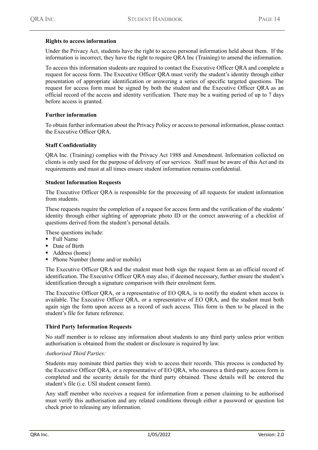#### **Rights to access information**

Under the Privacy Act, students have the right to access personal information held about them. If the information is incorrect, they have the right to require QRA Inc (Training) to amend the information.

To access this information students are required to contact the Executive Officer QRA and complete a request for access form. The Executive Officer QRA must verify the student's identity through either presentation of appropriate identification or answering a series of specific targeted questions. The request for access form must be signed by both the student and the Executive Officer QRA as an official record of the access and identity verification. There may be a waiting period of up to 7 days before access is granted.

#### **Further information**

To obtain further information about the Privacy Policy or access to personal information, please contact the Executive Officer QRA.

#### **Staff Confidentiality**

QRA Inc. (Training) complies with the Privacy Act 1988 and Amendment. Information collected on clients is only used for the purpose of delivery of our services. Staff must be aware of this Act and its requirements and must at all times ensure student information remains confidential.

#### **Student Information Requests**

The Executive Officer QRA is responsible for the processing of all requests for student information from students.

These requests require the completion of a request for access form and the verification of the students' identity through either sighting of appropriate photo ID or the correct answering of a checklist of questions derived from the student's personal details.

These questions include:

- Full Name
- Date of Birth
- Address (home)
- Phone Number (home and/or mobile)

The Executive Officer QRA and the student must both sign the request form as an official record of identification. The Executive Officer QRA may also, if deemed necessary, further ensure the student's identification through a signature comparison with their enrolment form.

The Executive Officer QRA, or a representative of EO QRA, is to notify the student when access is available. The Executive Officer QRA, or a representative of EO QRA, and the student must both again sign the form upon access as a record of such access. This form is then to be placed in the student's file for future reference.

#### **Third Party Information Requests**

No staff member is to release any information about students to any third party unless prior written authorisation is obtained from the student or disclosure is required by law.

#### *Authorised Third Parties:*

Students may nominate third parties they wish to access their records. This process is conducted by the Executive Officer QRA, or a representative of EO QRA, who ensures a third-party access form is completed and the security details for the third party obtained. These details will be entered the student's file (i.e. USI student consent form).

Any staff member who receives a request for information from a person claiming to be authorised must verify this authorisation and any related conditions through either a password or question list check prior to releasing any information.